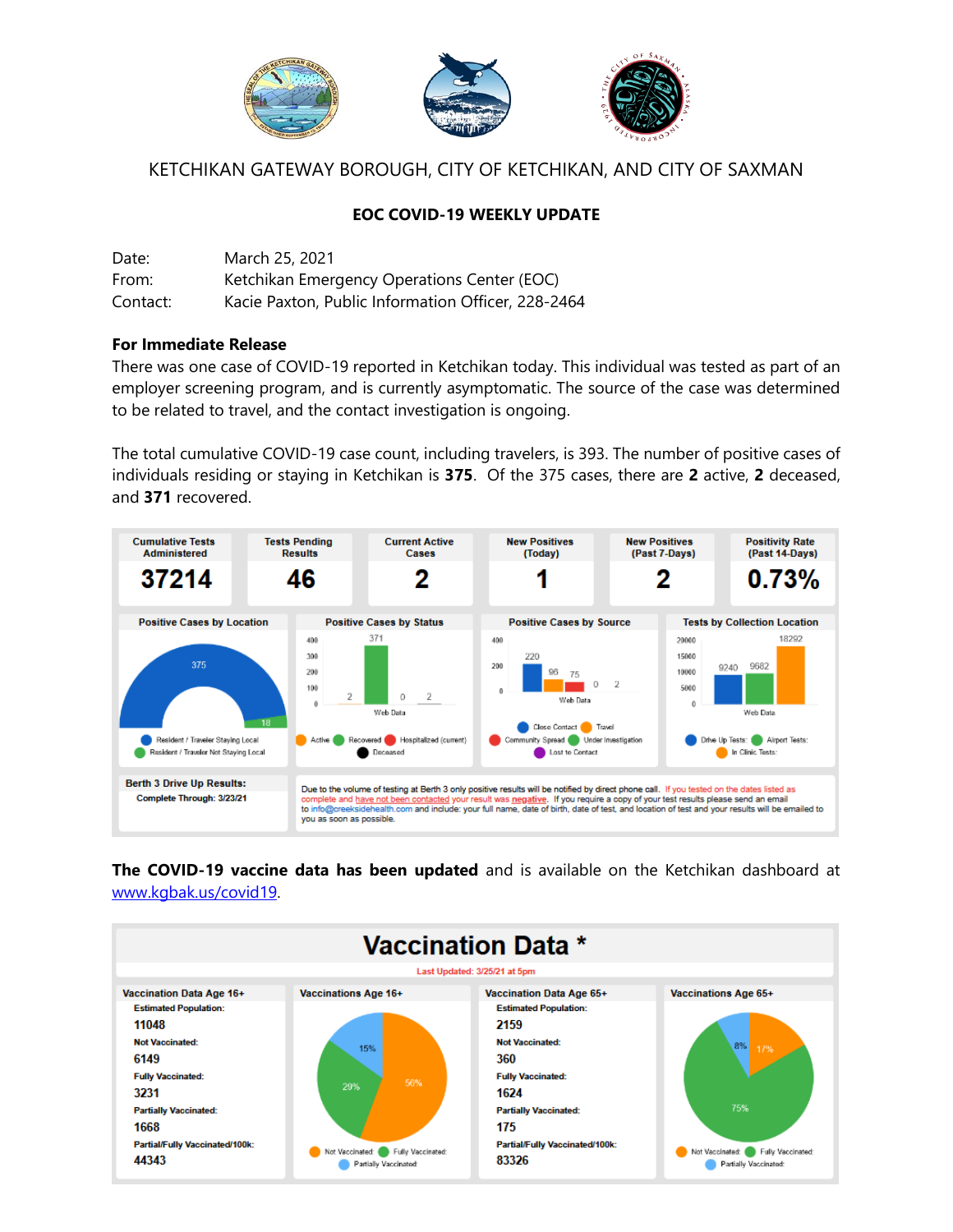

# KETCHIKAN GATEWAY BOROUGH, CITY OF KETCHIKAN, AND CITY OF SAXMAN

### **EOC COVID-19 WEEKLY UPDATE**

| Date:    | March 25, 2021                                     |
|----------|----------------------------------------------------|
| From:    | Ketchikan Emergency Operations Center (EOC)        |
| Contact: | Kacie Paxton, Public Information Officer, 228-2464 |

#### **For Immediate Release**

There was one case of COVID-19 reported in Ketchikan today. This individual was tested as part of an employer screening program, and is currently asymptomatic. The source of the case was determined to be related to travel, and the contact investigation is ongoing.

The total cumulative COVID-19 case count, including travelers, is 393. The number of positive cases of individuals residing or staying in Ketchikan is **375**. Of the 375 cases, there are **2** active, **2** deceased, and **371** recovered.



**The COVID-19 vaccine data has been updated** and is available on the Ketchikan dashboard at [www.kgbak.us/covid19.](http://www.kgbak.us/covid19)

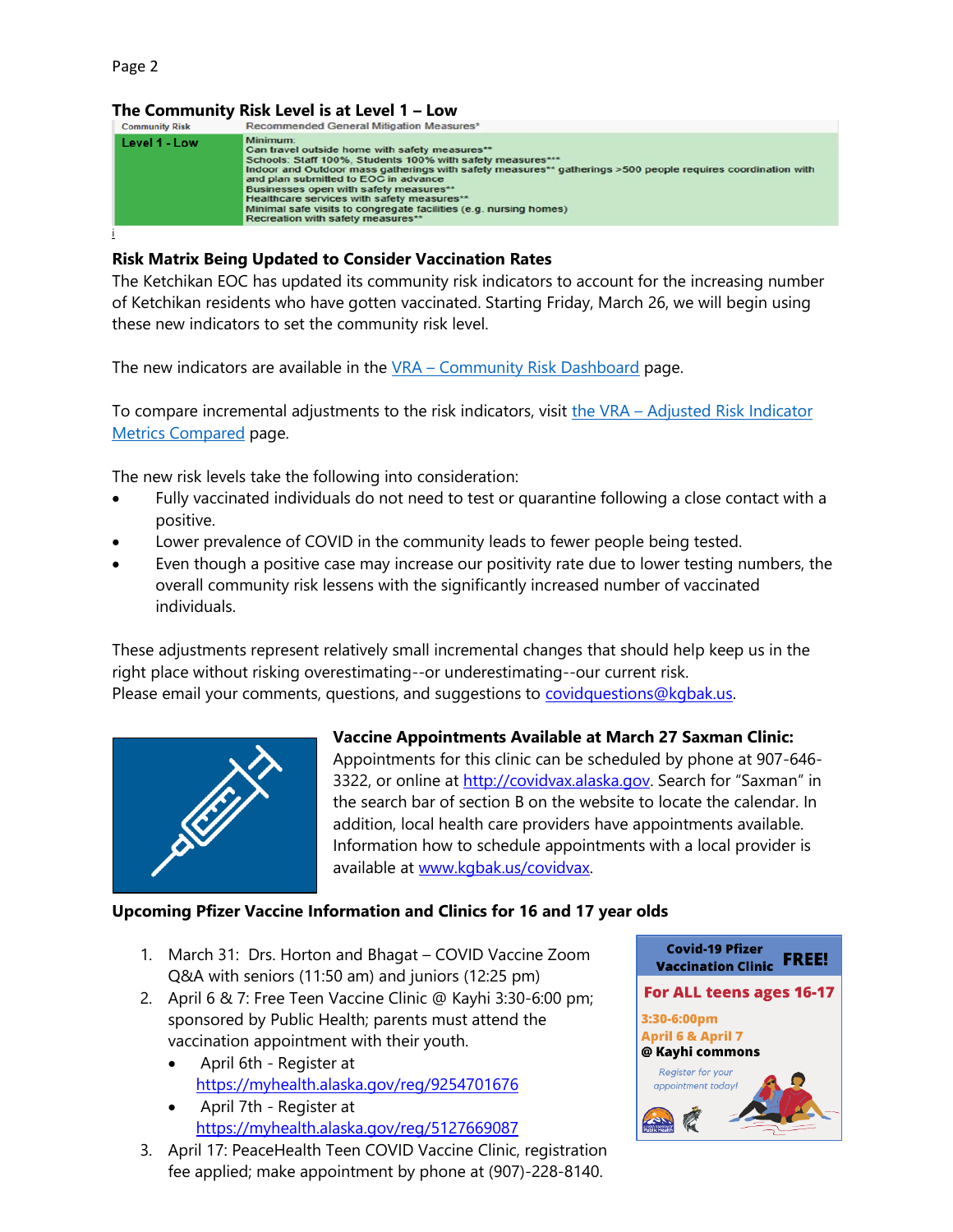# **The Community Risk Level is at Level 1 – Low**



#### **Risk Matrix Being Updated to Consider Vaccination Rates**

The Ketchikan EOC has updated its community risk indicators to account for the increasing number of Ketchikan residents who have gotten vaccinated. Starting Friday, March 26, we will begin using these new indicators to set the community risk level.

The new indicators are available in the  $VRA$  – [Community Risk Dashboard](https://us-east-2.protection.sophos.com/?d=smartsheet.com&u=aHR0cHM6Ly9hcHAuc21hcnRzaGVldC5jb20vYi9wdWJsaXNoP0VRQkNUPTJiZWU5Mzc1NGJlMTQ0MTE5ZDMzOWYzYmJkMjY2MDZl&i=NWNlNTg2MzlhZTUzOWIxNGFlY2Q4NWFh&t=aDZ5VU1BQldUZmQ4aURlelR2MHZrOHZYZTFIK0pTT0kyc0IzTVJrTndDWT0=&h=cbbf8c5d5ed342af8e1bb67edaeb0dbe) page.

To compare incremental adjustments to the risk indicators, visit the VRA – Adjusted Risk Indicator [Metrics Compared](https://us-east-2.protection.sophos.com/?d=smartsheet.com&u=aHR0cHM6Ly9hcHAuc21hcnRzaGVldC5jb20vYi9wdWJsaXNoP0VRQkNUPWNjZjE5NjU3YjRjNDRkNzhiZjRhYjQ4NjQ2YTkyNTc5&i=NWNlNTg2MzlhZTUzOWIxNGFlY2Q4NWFh&t=YnRpbUo0ekVRUHRuZElLbHorTElBNmdnaHVXK1VYV3lYU3N0ZVBhRzM3WT0=&h=cbbf8c5d5ed342af8e1bb67edaeb0dbe) page.

The new risk levels take the following into consideration:

- Fully vaccinated individuals do not need to test or quarantine following a close contact with a positive.
- Lower prevalence of COVID in the community leads to fewer people being tested.
- Even though a positive case may increase our positivity rate due to lower testing numbers, the overall community risk lessens with the significantly increased number of vaccinated individuals.

These adjustments represent relatively small incremental changes that should help keep us in the right place without risking overestimating--or underestimating--our current risk. Please email your comments, questions, and suggestions to [covidquestions@kgbak.us.](mailto:covidquestions@kgbak.us)



**Vaccine Appointments Available at March 27 Saxman Clinic:**  Appointments for this clinic can be scheduled by phone at 907-646- 3322, or online at [http://covidvax.alaska.gov](http://covidvax.alaska.gov/). Search for "Saxman" in the search bar of section B on the website to locate the calendar. In addition, local health care providers have appointments available. Information how to schedule appointments with a local provider is available at [www.kgbak.us/covidvax.](http://www.kgbak.us/covidvax)

### **Upcoming Pfizer Vaccine Information and Clinics for 16 and 17 year olds**

- 1. March 31: Drs. Horton and Bhagat COVID Vaccine Zoom Q&A with seniors (11:50 am) and juniors (12:25 pm)
- 2. April 6 & 7: Free Teen Vaccine Clinic @ Kayhi 3:30-6:00 pm; sponsored by Public Health; parents must attend the vaccination appointment with their youth.
	- April 6th Register at [https://myhealth.alaska.gov/reg/9254701676](https://us-east-2.protection.sophos.com/?d=urldefense.com&u=aHR0cHM6Ly91cmxkZWZlbnNlLmNvbS92My9fX2h0dHBzOi9uYW0wNC5zYWZlbGlua3MucHJvdGVjdGlvbi5vdXRsb29rLmNvbS8_dXJsPWh0dHBzKjNBKjJGKjJGbXloZWFsdGguYWxhc2thLmdvdioyRnJlZyoyRjkyNTQ3MDE2NzYmZGF0YT0wNCo3QzAxKjdDdGhvcnRvbjEqNDBwZWFjZWhlYWx0aC5vcmcqN0MxNzAwOTQ4ZDc4ZTY0Njg3NDhkYzA4ZDhlZjA2YmMzNyo3QzBjNGQ2YTIxMmNmNDQxOTc5MzMzYWE1ZmFkYjc2NzA5KjdDMCo3QzAqN0M2Mzc1MjIxNTk1MTA3NTE1NTMqN0NVbmtub3duKjdDVFdGcGJHWnNiM2Q4ZXlKV0lqb2lNQzR3TGpBd01EQWlMQ0pRSWpvaVYybHVNeklpTENKQlRpSTZJazFoYVd3aUxDSlhWQ0k2TW4wKjNEKjdDMTAwMCZzZGF0YT1hcSoyQm1HNGxpV21FY2g1Y2d3VlNyWU5TVjMxblBqQmF3KjJCUWwxbXBVMEtOQSozRCZyZXNlcnZlZD0wX187SlNVbEpTVWxKU1VsSlNVbEpTVWxKU1VsSlNVISFKMl84Z2RwNmdaUSE3dVpQai1jdEl6b0hzbzA3bXRSSG1BekJiSEFzVk82cjUxaVZiaGs4R3pJMVp2ZjhLeUVTRlRyUHgyRzlxVUlzRTdnaHRJUSQ=&i=NWNlNTg2MzlhZTUzOWIxNGFlY2Q4NWFh&t=a09BeldHdW8rb3Zpa1gxaitWMHJvRkpVU2QwTHRyeTcvODQ1N0NJZGpTWT0=&h=eb6c39ecf826421e9829aa0b9311dafa)
	- April 7th Register at [https://myhealth.alaska.gov/reg/5127669087](https://us-east-2.protection.sophos.com/?d=urldefense.com&u=aHR0cHM6Ly91cmxkZWZlbnNlLmNvbS92My9fX2h0dHBzOi9uYW0wNC5zYWZlbGlua3MucHJvdGVjdGlvbi5vdXRsb29rLmNvbS8_dXJsPWh0dHBzKjNBKjJGKjJGbXloZWFsdGguYWxhc2thLmdvdioyRnJlZyoyRjUxMjc2NjkwODcmZGF0YT0wNCo3QzAxKjdDdGhvcnRvbjEqNDBwZWFjZWhlYWx0aC5vcmcqN0MxNzAwOTQ4ZDc4ZTY0Njg3NDhkYzA4ZDhlZjA2YmMzNyo3QzBjNGQ2YTIxMmNmNDQxOTc5MzMzYWE1ZmFkYjc2NzA5KjdDMCo3QzAqN0M2Mzc1MjIxNTk1MTA3NTE1NTMqN0NVbmtub3duKjdDVFdGcGJHWnNiM2Q4ZXlKV0lqb2lNQzR3TGpBd01EQWlMQ0pRSWpvaVYybHVNeklpTENKQlRpSTZJazFoYVd3aUxDSlhWQ0k2TW4wKjNEKjdDMTAwMCZzZGF0YT1Rc0UzRlVPUGJCbmh2VHNrR0dCTzJBSzRmUWkqMkJORlp0eWoyVlI2SXU4dDgqM0QmcmVzZXJ2ZWQ9MF9fO0pTVWxKU1VsSlNVbEpTVWxKU1VsSlNVbEpRISFKMl84Z2RwNmdaUSE3dVpQai1jdEl6b0hzbzA3bXRSSG1BekJiSEFzVk82cjUxaVZiaGs4R3pJMVp2ZjhLeUVTRlRyUHgyRzlxVUlzLVB3MzJSZyQ=&i=NWNlNTg2MzlhZTUzOWIxNGFlY2Q4NWFh&t=WFkzQ1Z3aWxzTGpwa0wyR2RlWXlreDVObS9YU0lhS1pzRzhuYTNLN3E2WT0=&h=eb6c39ecf826421e9829aa0b9311dafa)
- 3. April 17: PeaceHealth Teen COVID Vaccine Clinic, registration fee applied; make appointment by phone at (907)-228-8140.